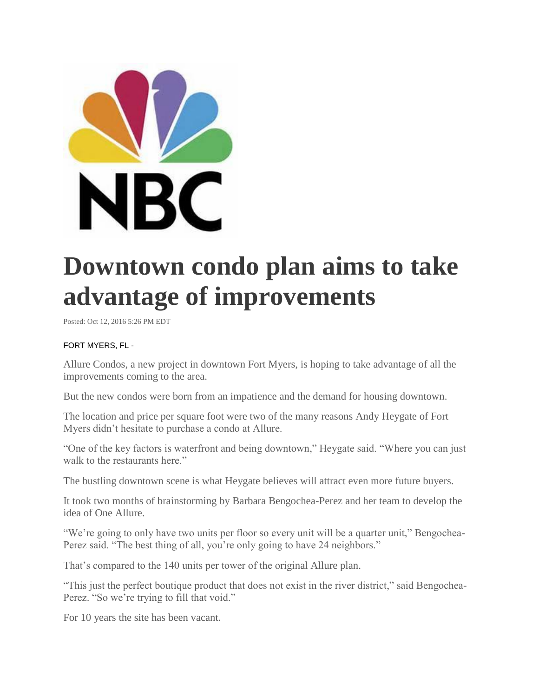

## **Downtown condo plan aims to take advantage of improvements**

Posted: Oct 12, 2016 5:26 PM EDT

## FORT MYERS, FL -

Allure Condos, a new project in downtown Fort Myers, is hoping to take advantage of all the improvements coming to the area.

But the new condos were born from an impatience and the demand for housing downtown.

The location and price per square foot were two of the many reasons Andy Heygate of Fort Myers didn't hesitate to purchase a condo at Allure.

"One of the key factors is waterfront and being downtown," Heygate said. "Where you can just walk to the restaurants here."

The bustling downtown scene is what Heygate believes will attract even more future buyers.

It took two months of brainstorming by Barbara Bengochea-Perez and her team to develop the idea of One Allure.

"We're going to only have two units per floor so every unit will be a quarter unit," Bengochea-Perez said. "The best thing of all, you're only going to have 24 neighbors."

That's compared to the 140 units per tower of the original Allure plan.

"This just the perfect boutique product that does not exist in the river district," said Bengochea-Perez. "So we're trying to fill that void."

For 10 years the site has been vacant.